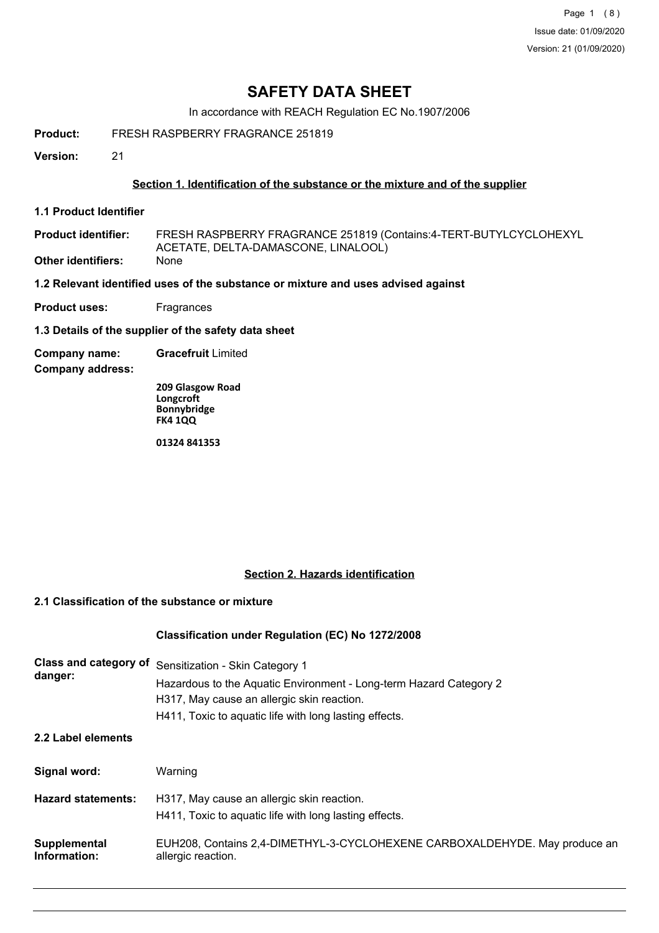Page 1 (8) Issue date: 01/09/2020 Version: 21 (01/09/2020)

# **SAFETY DATA SHEET**

In accordance with REACH Regulation EC No.1907/2006

**Product:** FRESH RASPBERRY FRAGRANCE 251819

**Version:** 21

#### **Section 1. Identification of the substance or the mixture and of the supplier**

**1.1 Product Identifier**

FRESH RASPBERRY FRAGRANCE 251819 (Contains:4-TERT-BUTYLCYCLOHEXYL ACETATE, DELTA-DAMASCONE, LINALOOL) **Product identifier: Other identifiers:** None

**1.2 Relevant identified uses of the substance or mixture and uses advised against**

**Product uses:** Fragrances

**1.3 Details of the supplier of the safety data sheet**

**Company name: Gracefruit** Limited

**Company address:**

**209 Glasgow Road Longcroft Bonnybridge FK4 1QQ**

**01324 841353**

#### **Section 2. Hazards identification**

# **2.1 Classification of the substance or mixture**

#### **Classification under Regulation (EC) No 1272/2008**

| Class and category of<br>danger: | Sensitization - Skin Category 1<br>Hazardous to the Aquatic Environment - Long-term Hazard Category 2<br>H317, May cause an allergic skin reaction.<br>H411, Toxic to aquatic life with long lasting effects. |
|----------------------------------|---------------------------------------------------------------------------------------------------------------------------------------------------------------------------------------------------------------|
| 2.2 Label elements               |                                                                                                                                                                                                               |
| Signal word:                     | Warning                                                                                                                                                                                                       |
| <b>Hazard statements:</b>        | H317, May cause an allergic skin reaction.<br>H411, Toxic to aguatic life with long lasting effects.                                                                                                          |
| Supplemental<br>Information:     | EUH208, Contains 2,4-DIMETHYL-3-CYCLOHEXENE CARBOXALDEHYDE. May produce an<br>allergic reaction.                                                                                                              |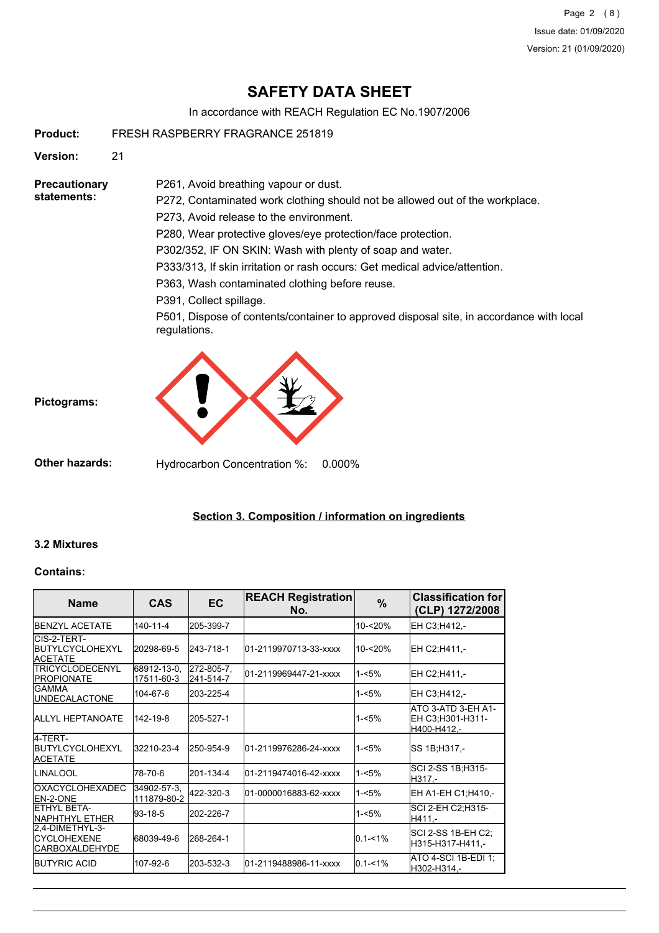Page 2 (8) Issue date: 01/09/2020 Version: 21 (01/09/2020)

# **SAFETY DATA SHEET**

In accordance with REACH Regulation EC No.1907/2006

**Product:** FRESH RASPBERRY FRAGRANCE 251819

**Version:** 21

**Precautionary statements:**

P272, Contaminated work clothing should not be allowed out of the workplace.

P273, Avoid release to the environment.

P261, Avoid breathing vapour or dust.

P280, Wear protective gloves/eye protection/face protection.

P302/352, IF ON SKIN: Wash with plenty of soap and water.

P333/313, If skin irritation or rash occurs: Get medical advice/attention.

P363, Wash contaminated clothing before reuse.

P391, Collect spillage.

P501, Dispose of contents/container to approved disposal site, in accordance with local regulations.



**Other hazards:** Hydrocarbon Concentration %: 0.000%

## **Section 3. Composition / information on ingredients**

#### **3.2 Mixtures**

**Pictograms:**

#### **Contains:**

| <b>Name</b>                                                      | <b>CAS</b>                 | <b>EC</b>               | <b>REACH Registration</b><br>No. | %           | <b>Classification for</b><br>(CLP) 1272/2008          |
|------------------------------------------------------------------|----------------------------|-------------------------|----------------------------------|-------------|-------------------------------------------------------|
| <b>IBENZYL ACETATE</b>                                           | $140 - 11 - 4$             | 205-399-7               |                                  | 10-<20%     | EH C3:H412,-                                          |
| CIS-2-TERT-<br><b>IBUTYLCYCLOHEXYL</b><br><b>ACETATE</b>         | 20298-69-5                 | 243-718-1               | 01-2119970713-33-xxxx            | $10 - 20%$  | EH C2:H411.-                                          |
| <b>ITRICYCLODECENYL</b><br><b>IPROPIONATE</b>                    | 68912-13-0,<br>17511-60-3  | 272-805-7,<br>241-514-7 | 01-2119969447-21-xxxx            | $1 - 5%$    | EH C2:H411.-                                          |
| IGAMMA<br><b>JUNDECALACTONE</b>                                  | 104-67-6                   | 203-225-4               |                                  | $1 - 5%$    | EH C3;H412,-                                          |
| <b>JALLYL HEPTANOATE</b>                                         | 142-19-8                   | 205-527-1               |                                  | 1-<5%       | ATO 3-ATD 3-EH A1-<br>EH C3:H301-H311-<br>H400-H412,- |
| 4-TERT-<br><b>IBUTYLCYCLOHEXYL</b><br><b>ACETATE</b>             | 32210-23-4                 | 250-954-9               | 01-2119976286-24-xxxx            | $1 - 5%$    | SS 1B; H317,-                                         |
| ILINALOOL                                                        | 78-70-6                    | 201-134-4               | 01-2119474016-42-xxxx            | $1 - 5%$    | SCI 2-SS 1B;H315-<br>H317.-                           |
| <b>IOXACYCLOHEXADEC</b><br><b>IEN-2-ONE</b>                      | 34902-57-3,<br>111879-80-2 | 422-320-3               | 01-0000016883-62-xxxx            | $1 - 5%$    | EH A1-EH C1;H410,-                                    |
| ETHYL BETA-<br><b>INAPHTHYL ETHER</b>                            | 93-18-5                    | 202-226-7               |                                  | 1-<5%       | <b>SCI 2-EH C2: H315-</b><br>H411.-                   |
| 2.4-DIMETHYL-3-<br><b>ICYCLOHEXENE</b><br><b>ICARBOXALDEHYDE</b> | 68039-49-6                 | 268-264-1               |                                  | $0.1 - 1\%$ | SCI 2-SS 1B-EH C2;<br>H315-H317-H411,-                |
| <b>BUTYRIC ACID</b>                                              | 107-92-6                   | 203-532-3               | l01-2119488986-11-xxxx           | $0.1 - 1%$  | ATO 4-SCI 1B-EDI 1:<br>H302-H314.-                    |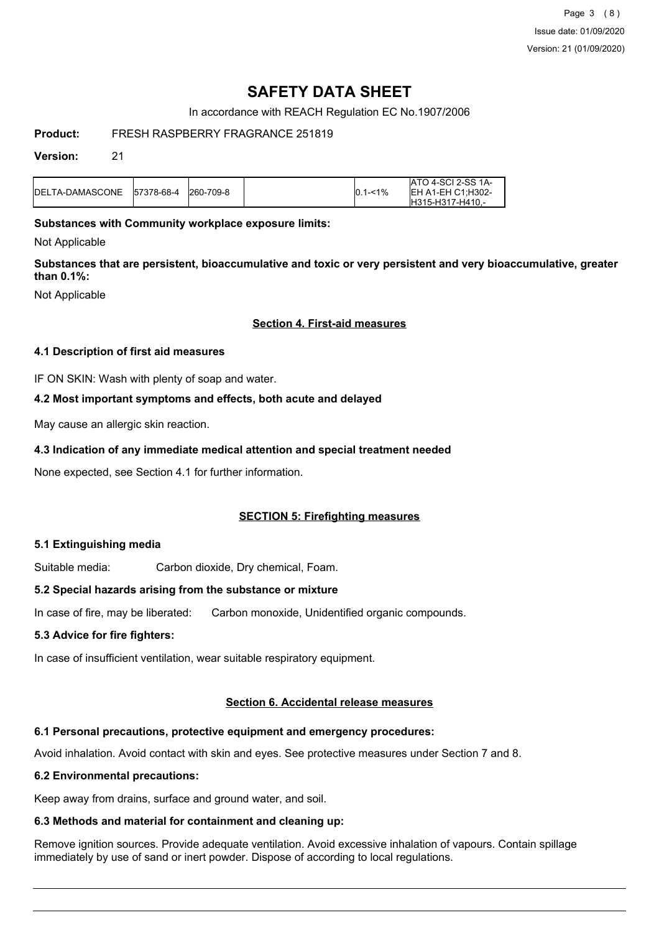Page 3 (8) Issue date: 01/09/2020 Version: 21 (01/09/2020)

# **SAFETY DATA SHEET**

In accordance with REACH Regulation EC No.1907/2006

### **Product:** FRESH RASPBERRY FRAGRANCE 251819

#### **Version:** 21

| <b>I</b> DELTA-DAMASCONE | 157378-68-4 | 260-709-8 | $ 0.1 - 1\% $ | IATO 4-SCI 2-SS 1A-<br><b>IEH A1-EH C1:H302-</b><br>IH315-H317-H410.- |
|--------------------------|-------------|-----------|---------------|-----------------------------------------------------------------------|
|                          |             |           |               |                                                                       |

#### **Substances with Community workplace exposure limits:**

Not Applicable

**Substances that are persistent, bioaccumulative and toxic or very persistent and very bioaccumulative, greater than 0.1%:**

Not Applicable

#### **Section 4. First-aid measures**

#### **4.1 Description of first aid measures**

IF ON SKIN: Wash with plenty of soap and water.

#### **4.2 Most important symptoms and effects, both acute and delayed**

May cause an allergic skin reaction.

#### **4.3 Indication of any immediate medical attention and special treatment needed**

None expected, see Section 4.1 for further information.

## **SECTION 5: Firefighting measures**

#### **5.1 Extinguishing media**

Suitable media: Carbon dioxide, Dry chemical, Foam.

#### **5.2 Special hazards arising from the substance or mixture**

In case of fire, may be liberated: Carbon monoxide, Unidentified organic compounds.

#### **5.3 Advice for fire fighters:**

In case of insufficient ventilation, wear suitable respiratory equipment.

# **Section 6. Accidental release measures**

# **6.1 Personal precautions, protective equipment and emergency procedures:**

Avoid inhalation. Avoid contact with skin and eyes. See protective measures under Section 7 and 8.

# **6.2 Environmental precautions:**

Keep away from drains, surface and ground water, and soil.

# **6.3 Methods and material for containment and cleaning up:**

Remove ignition sources. Provide adequate ventilation. Avoid excessive inhalation of vapours. Contain spillage immediately by use of sand or inert powder. Dispose of according to local regulations.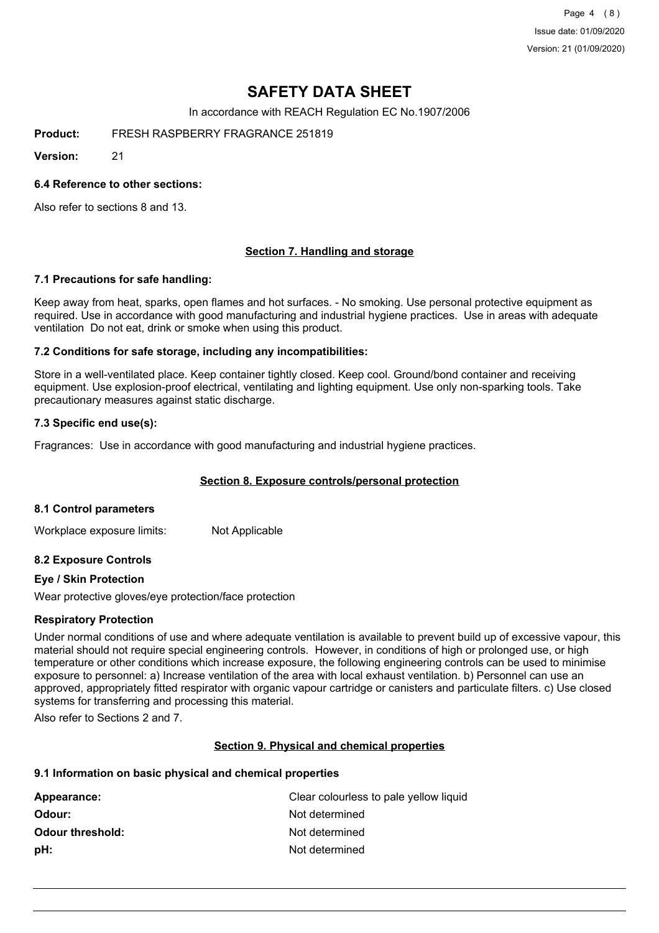Page 4 (8) Issue date: 01/09/2020 Version: 21 (01/09/2020)

# **SAFETY DATA SHEET**

In accordance with REACH Regulation EC No.1907/2006

**Product:** FRESH RASPBERRY FRAGRANCE 251819

**Version:** 21

#### **6.4 Reference to other sections:**

Also refer to sections 8 and 13.

#### **Section 7. Handling and storage**

#### **7.1 Precautions for safe handling:**

Keep away from heat, sparks, open flames and hot surfaces. - No smoking. Use personal protective equipment as required. Use in accordance with good manufacturing and industrial hygiene practices. Use in areas with adequate ventilation Do not eat, drink or smoke when using this product.

#### **7.2 Conditions for safe storage, including any incompatibilities:**

Store in a well-ventilated place. Keep container tightly closed. Keep cool. Ground/bond container and receiving equipment. Use explosion-proof electrical, ventilating and lighting equipment. Use only non-sparking tools. Take precautionary measures against static discharge.

#### **7.3 Specific end use(s):**

Fragrances: Use in accordance with good manufacturing and industrial hygiene practices.

#### **Section 8. Exposure controls/personal protection**

#### **8.1 Control parameters**

Workplace exposure limits: Not Applicable

#### **8.2 Exposure Controls**

#### **Eye / Skin Protection**

Wear protective gloves/eye protection/face protection

#### **Respiratory Protection**

Under normal conditions of use and where adequate ventilation is available to prevent build up of excessive vapour, this material should not require special engineering controls. However, in conditions of high or prolonged use, or high temperature or other conditions which increase exposure, the following engineering controls can be used to minimise exposure to personnel: a) Increase ventilation of the area with local exhaust ventilation. b) Personnel can use an approved, appropriately fitted respirator with organic vapour cartridge or canisters and particulate filters. c) Use closed systems for transferring and processing this material.

Also refer to Sections 2 and 7.

#### **Section 9. Physical and chemical properties**

#### **9.1 Information on basic physical and chemical properties**

| Clear colourless to pale yellow liquid |
|----------------------------------------|
| Not determined                         |
| Not determined                         |
| Not determined                         |
|                                        |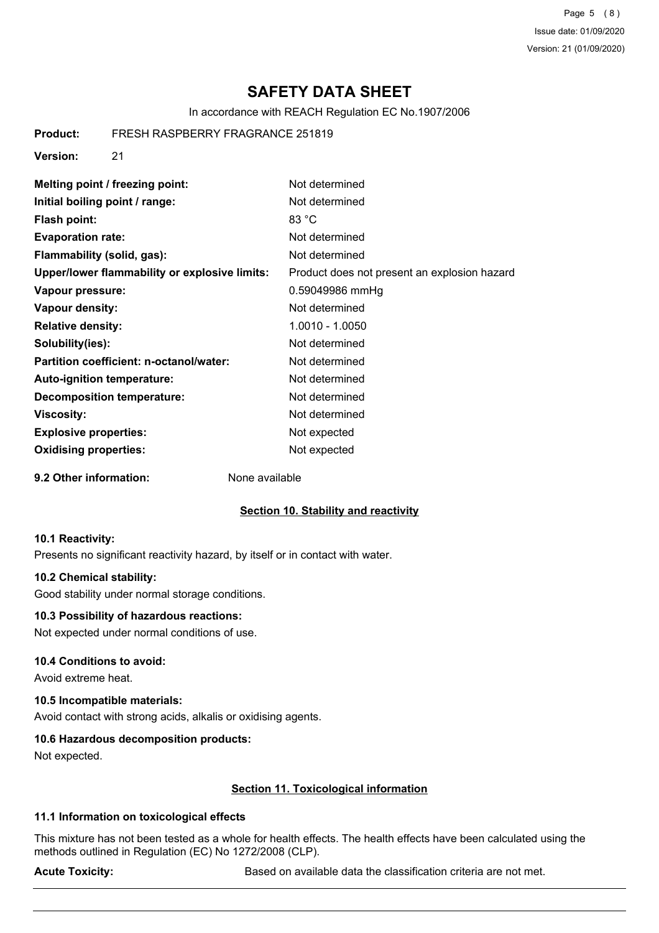Page 5 (8) Issue date: 01/09/2020 Version: 21 (01/09/2020)

# **SAFETY DATA SHEET**

In accordance with REACH Regulation EC No.1907/2006

**Product:** FRESH RASPBERRY FRAGRANCE 251819

**Version:** 21

| Melting point / freezing point:               | Not determined                               |
|-----------------------------------------------|----------------------------------------------|
| Initial boiling point / range:                | Not determined                               |
| Flash point:                                  | 83 °C                                        |
| <b>Evaporation rate:</b>                      | Not determined                               |
| Flammability (solid, gas):                    | Not determined                               |
| Upper/lower flammability or explosive limits: | Product does not present an explosion hazard |
| Vapour pressure:                              | 0.59049986 mmHg                              |
| Vapour density:                               | Not determined                               |
| <b>Relative density:</b>                      | 1.0010 - 1.0050                              |
| Solubility(ies):                              | Not determined                               |
| Partition coefficient: n-octanol/water:       | Not determined                               |
| <b>Auto-ignition temperature:</b>             | Not determined                               |
| <b>Decomposition temperature:</b>             | Not determined                               |
| Viscosity:                                    | Not determined                               |
| <b>Explosive properties:</b>                  | Not expected                                 |
| <b>Oxidising properties:</b>                  | Not expected                                 |

**9.2 Other information:** None available

#### **Section 10. Stability and reactivity**

#### **10.1 Reactivity:**

Presents no significant reactivity hazard, by itself or in contact with water.

#### **10.2 Chemical stability:**

Good stability under normal storage conditions.

#### **10.3 Possibility of hazardous reactions:**

Not expected under normal conditions of use.

#### **10.4 Conditions to avoid:**

Avoid extreme heat.

#### **10.5 Incompatible materials:**

Avoid contact with strong acids, alkalis or oxidising agents.

#### **10.6 Hazardous decomposition products:**

Not expected.

#### **Section 11. Toxicological information**

#### **11.1 Information on toxicological effects**

This mixture has not been tested as a whole for health effects. The health effects have been calculated using the methods outlined in Regulation (EC) No 1272/2008 (CLP).

Acute Toxicity: **Acute Toxicity:** Based on available data the classification criteria are not met.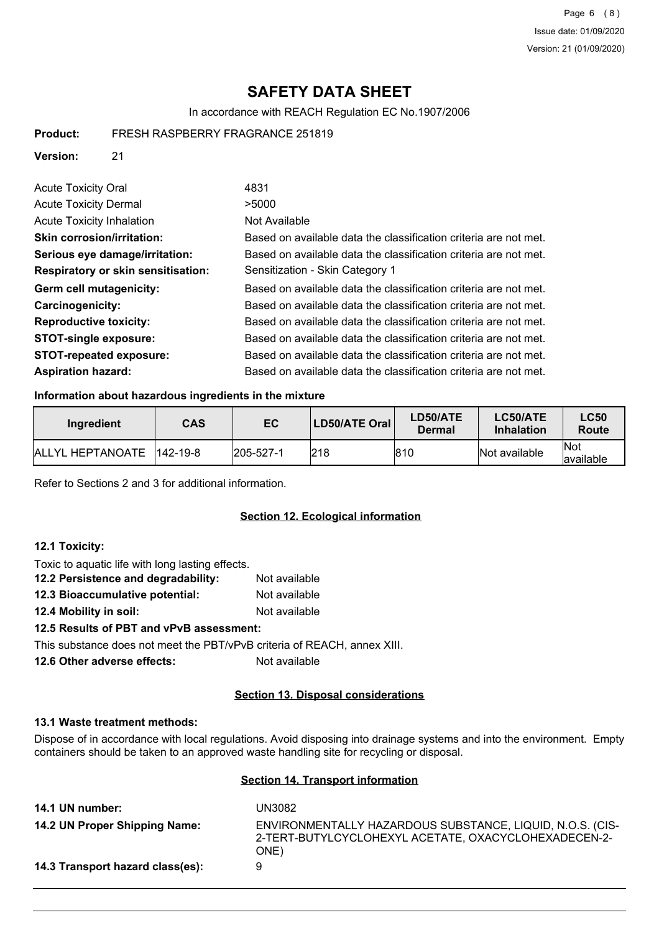Page 6 (8) Issue date: 01/09/2020 Version: 21 (01/09/2020)

# **SAFETY DATA SHEET**

In accordance with REACH Regulation EC No.1907/2006

| Product: | FRESH RASPBERRY FRAGRANCE 251819 |
|----------|----------------------------------|
|----------|----------------------------------|

**Version:** 21

| <b>Acute Toxicity Oral</b>                | 4831                                                             |
|-------------------------------------------|------------------------------------------------------------------|
| <b>Acute Toxicity Dermal</b>              | >5000                                                            |
| <b>Acute Toxicity Inhalation</b>          | Not Available                                                    |
| <b>Skin corrosion/irritation:</b>         | Based on available data the classification criteria are not met. |
| Serious eye damage/irritation:            | Based on available data the classification criteria are not met. |
| <b>Respiratory or skin sensitisation:</b> | Sensitization - Skin Category 1                                  |
| Germ cell mutagenicity:                   | Based on available data the classification criteria are not met. |
| Carcinogenicity:                          | Based on available data the classification criteria are not met. |
| <b>Reproductive toxicity:</b>             | Based on available data the classification criteria are not met. |
| <b>STOT-single exposure:</b>              | Based on available data the classification criteria are not met. |
| <b>STOT-repeated exposure:</b>            | Based on available data the classification criteria are not met. |
| <b>Aspiration hazard:</b>                 | Based on available data the classification criteria are not met. |

#### **Information about hazardous ingredients in the mixture**

| Ingredient               | <b>CAS</b>   | EC        | <b>LD50/ATE Oral</b> | LD50/ATE<br>Dermal | LC50/ATE<br>Inhalation | <b>LC50</b><br>Route |
|--------------------------|--------------|-----------|----------------------|--------------------|------------------------|----------------------|
| <b>IALLYL HEPTANOATE</b> | $ 142-19-8 $ | 205-527-1 | 218                  | 810                | Not available          | 'Not<br>lavailable   |

Refer to Sections 2 and 3 for additional information.

## **Section 12. Ecological information**

#### **12.1 Toxicity:**

| Toxic to aquatic life with long lasting effects.              |               |
|---------------------------------------------------------------|---------------|
| 12.2 Persistence and degradability:                           | Not available |
| 12.3 Bioaccumulative potential:                               | Not available |
| 12.4 Mobility in soil:                                        | Not available |
| 12.5 Results of PBT and vPvB assessment:                      |               |
| This substance does not meet the PRT/vPvR criteria of REACH a |               |

This substance does not meet the PBT/vPvB criteria of REACH, annex XIII.

**12.6 Other adverse effects:** Not available

#### **Section 13. Disposal considerations**

#### **13.1 Waste treatment methods:**

Dispose of in accordance with local regulations. Avoid disposing into drainage systems and into the environment. Empty containers should be taken to an approved waste handling site for recycling or disposal.

#### **Section 14. Transport information**

| 14.1 UN number:                  | UN3082                                                                                                                    |
|----------------------------------|---------------------------------------------------------------------------------------------------------------------------|
| 14.2 UN Proper Shipping Name:    | ENVIRONMENTALLY HAZARDOUS SUBSTANCE, LIQUID, N.O.S. (CIS-<br>2-TERT-BUTYLCYCLOHEXYL ACETATE, OXACYCLOHEXADECEN-2-<br>ONE) |
| 14.3 Transport hazard class(es): | 9                                                                                                                         |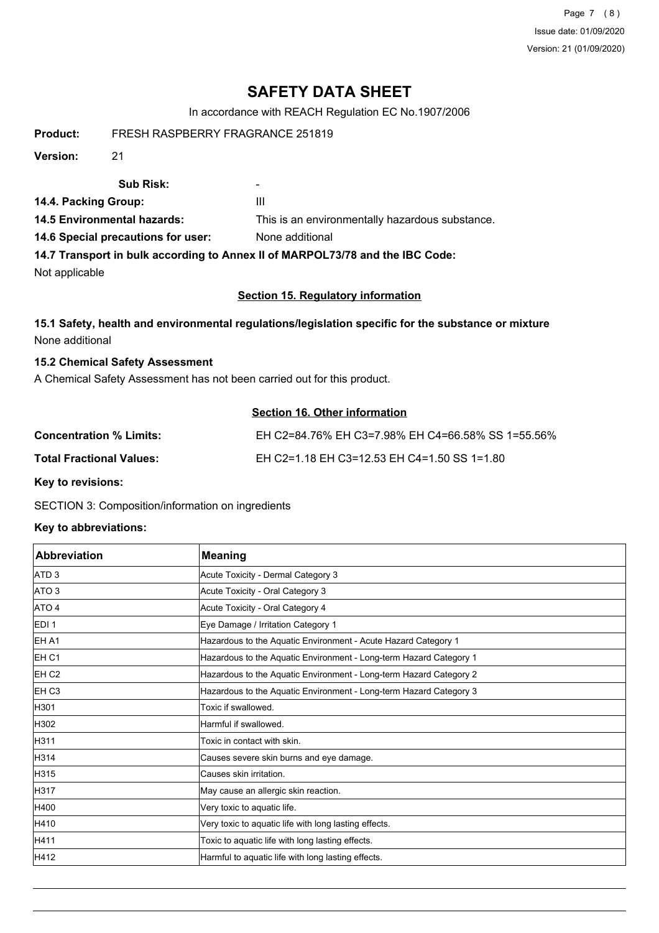Page 7 (8) Issue date: 01/09/2020 Version: 21 (01/09/2020)

# **SAFETY DATA SHEET**

In accordance with REACH Regulation EC No.1907/2006

**Product:** FRESH RASPBERRY FRAGRANCE 251819

**Version:** 21

#### **Sub Risk:** -

**14.4. Packing Group:** III

**14.5 Environmental hazards:** This is an environmentally hazardous substance.

**14.6 Special precautions for user:** None additional

**14.7 Transport in bulk according to Annex II of MARPOL73/78 and the IBC Code:**

Not applicable

#### **Section 15. Regulatory information**

#### **15.1 Safety, health and environmental regulations/legislation specific for the substance or mixture** None additional

#### **15.2 Chemical Safety Assessment**

A Chemical Safety Assessment has not been carried out for this product.

## **Section 16. Other information**

| <b>Concentration % Limits:</b>  | EH C2=84.76% EH C3=7.98% EH C4=66.58% SS 1=55.56% |
|---------------------------------|---------------------------------------------------|
| <b>Total Fractional Values:</b> | EH C2=1.18 EH C3=12.53 EH C4=1.50 SS 1=1.80       |

**Key to revisions:**

SECTION 3: Composition/information on ingredients

#### **Key to abbreviations:**

| <b>Abbreviation</b> | <b>Meaning</b>                                                     |
|---------------------|--------------------------------------------------------------------|
| ATD <sub>3</sub>    | Acute Toxicity - Dermal Category 3                                 |
| ATO <sub>3</sub>    | Acute Toxicity - Oral Category 3                                   |
| ATO 4               | Acute Toxicity - Oral Category 4                                   |
| EDI <sub>1</sub>    | Eye Damage / Irritation Category 1                                 |
| EH A1               | Hazardous to the Aquatic Environment - Acute Hazard Category 1     |
| <b>EH C1</b>        | Hazardous to the Aquatic Environment - Long-term Hazard Category 1 |
| EH <sub>C2</sub>    | Hazardous to the Aquatic Environment - Long-term Hazard Category 2 |
| EH <sub>C3</sub>    | Hazardous to the Aquatic Environment - Long-term Hazard Category 3 |
| H301                | Toxic if swallowed.                                                |
| H302                | Harmful if swallowed.                                              |
| H311                | Toxic in contact with skin.                                        |
| H314                | Causes severe skin burns and eye damage.                           |
| H315                | Causes skin irritation.                                            |
| H317                | May cause an allergic skin reaction.                               |
| H400                | Very toxic to aquatic life.                                        |
| H410                | Very toxic to aquatic life with long lasting effects.              |
| H411                | Toxic to aquatic life with long lasting effects.                   |
| H412                | Harmful to aquatic life with long lasting effects.                 |